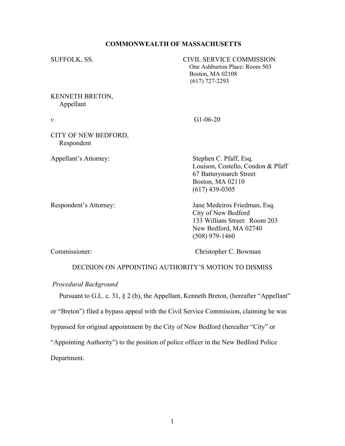# **COMMONWEALTH OF MASSACHUSETTS**

| SUFFOLK, SS.                        | <b>CIVIL SERVICE COMMISSION</b><br>One Ashburton Place: Room 503<br>Boston, MA 02108<br>$(617)$ 727-2293                         |
|-------------------------------------|----------------------------------------------------------------------------------------------------------------------------------|
| <b>KENNETH BRETON,</b><br>Appellant |                                                                                                                                  |
| ν.                                  | $G1-06-20$                                                                                                                       |
| CITY OF NEW BEDFORD,<br>Respondent  |                                                                                                                                  |
| Appellant's Attorney:               | Stephen C. Pfaff, Esq.<br>Louison, Costello, Condon & Pfaff<br>67 Batterymarch Street<br>Boston, MA 02110<br>$(617)$ 439-0305    |
| Respondent's Attorney:              | Jane Medeiros Friedman, Esq.<br>City of New Bedford<br>133 William Street: Room 203<br>New Bedford, MA 02740<br>$(508)$ 979-1460 |
| Commissioner:                       | Christopher C. Bowman                                                                                                            |

## DECISION ON APPOINTING AUTHORITY'S MOTION TO DISMISS

### *Procedural Background*

Pursuant to G.L. c. 31, § 2 (b), the Appellant, Kenneth Breton, (hereafter "Appellant" or "Breton") filed a bypass appeal with the Civil Service Commission, claiming he was bypassed for original appointment by the City of New Bedford (hereafter "City" or "Appointing Authority") to the position of police officer in the New Bedford Police Department.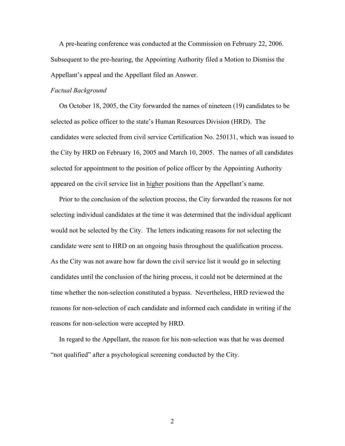A pre-hearing conference was conducted at the Commission on February 22, 2006. Subsequent to the pre-hearing, the Appointing Authority filed a Motion to Dismiss the Appellant's appeal and the Appellant filed an Answer.

#### *Factual Background*

 On October 18, 2005, the City forwarded the names of nineteen (19) candidates to be selected as police officer to the state's Human Resources Division (HRD). The candidates were selected from civil service Certification No. 250131, which was issued to the City by HRD on February 16, 2005 and March 10, 2005. The names of all candidates selected for appointment to the position of police officer by the Appointing Authority appeared on the civil service list in higher positions than the Appellant's name.

 Prior to the conclusion of the selection process, the City forwarded the reasons for not selecting individual candidates at the time it was determined that the individual applicant would not be selected by the City. The letters indicating reasons for not selecting the candidate were sent to HRD on an ongoing basis throughout the qualification process. As the City was not aware how far down the civil service list it would go in selecting candidates until the conclusion of the hiring process, it could not be determined at the time whether the non-selection constituted a bypass. Nevertheless, HRD reviewed the reasons for non-selection of each candidate and informed each candidate in writing if the reasons for non-selection were accepted by HRD.

 In regard to the Appellant, the reason for his non-selection was that he was deemed "not qualified" after a psychological screening conducted by the City.

2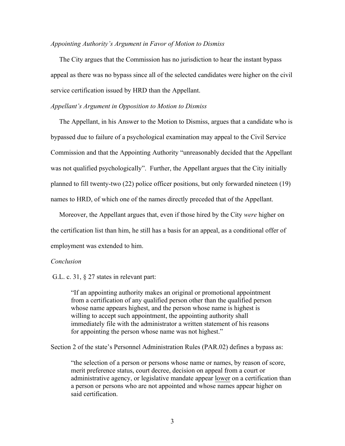#### *Appointing Authority¶s Argument in Favor of Motion to Dismiss*

 The City argues that the Commission has no jurisdiction to hear the instant bypass appeal as there was no bypass since all of the selected candidates were higher on the civil service certification issued by HRD than the Appellant.

### *Appellant¶s Argument in Opposition to Motion to Dismiss*

 The Appellant, in his Answer to the Motion to Dismiss, argues that a candidate who is bypassed due to failure of a psychological examination may appeal to the Civil Service Commission and that the Appointing Authority "unreasonably decided that the Appellant was not qualified psychologically". Further, the Appellant argues that the City initially planned to fill twenty-two (22) police officer positions, but only forwarded nineteen (19) names to HRD, of which one of the names directly preceded that of the Appellant.

 Moreover, the Appellant argues that, even if those hired by the City *were* higher on the certification list than him, he still has a basis for an appeal, as a conditional offer of employment was extended to him.

#### *Conclusion*

G.L. c. 31, § 27 states in relevant part:

³If an appointing authority makes an original or promotional appointment from a certification of any qualified person other than the qualified person whose name appears highest, and the person whose name is highest is willing to accept such appointment, the appointing authority shall immediately file with the administrator a written statement of his reasons for appointing the person whose name was not highest."

Section 2 of the state's Personnel Administration Rules (PAR.02) defines a bypass as:

³the selection of a person or persons whose name or names, by reason of score, merit preference status, court decree, decision on appeal from a court or administrative agency, or legislative mandate appear <u>lower</u> on a certification than a person or persons who are not appointed and whose names appear higher on said certification.